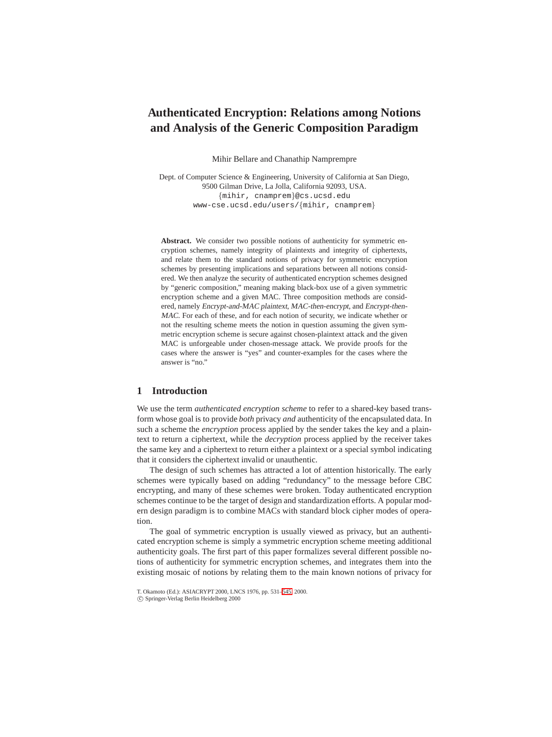# **Authenticated Encryption: Relations among Notions and Analysis of the Generic Composition Paradigm**

Mihir Bellare and Chanathip Namprempre

Dept. of Computer Science & Engineering, University of California at San Diego, 9500 Gilman Drive, La Jolla, California 92093, USA. {mihir, cnamprem}@cs.ucsd.edu www-cse.ucsd.edu/users/{mihir, cnamprem}

Abstract. We consider two possible notions of authenticity for symmetric encryption schemes, namely integrity of plaintexts and integrity of ciphertexts, and relate them to the standard notions of privacy for symmetric encryption schemes by presenting implications and separations between all notions considered. We then analyze the security of authenticated encryption schemes designed by "generic composition," meaning making black-box use of a given symmetric encryption scheme and a given MAC. Three composition methods are considered, namely Encrypt-and-MAC plaintext, MAC-then-encrypt, and Encrypt-then-MAC. For each of these, and for each notion of security, we indicate whether or not the resulting scheme meets the notion in question assuming the given symmetric encryption scheme is secure against chosen-plaintext attack and the given MAC is unforgeable under chosen-message attack. We provide proofs for the cases where the answer is "yes" and counter-examples for the cases where the answer is "no."

# **1 Introduction**

We use the term *authenticated encryption scheme* to refer to a shared-key based transform whose goal is to provide *both* privacy *and* authenticity of the encapsulated data. In such a scheme the *encryption* process applied by the sender takes the key and a plaintext to return a ciphertext, while the *decryption* process applied by the receiver takes the same key and a ciphertext to return either a plaintext or a special symbol indicating that it considers the ciphertext invalid or unauthentic.

The design of such schemes has attracted a lot of attention historically. The early schemes were typically based on adding "redundancy" to the message before CBC encrypting, and many of these schemes were broken. Today authenticated encryption schemes continue to be the target of design and standardization efforts. A popular modern design paradigm is to combine MACs with standard block cipher modes of operation.

The goal of symmetric encryption is usually viewed as privacy, but an authenticated encryption scheme is simply a symmetric encryption scheme meeting additional authenticity goals. The first part of this paper formalizes several different possible notions of authenticity for symmetric encryption schemes, and integrates them into the existing mosaic of notions by relating them to the main known notions of privacy for

T. Okamoto (Ed.): ASIACRYPT 2000, LNCS 1976, pp. 531[–545,](#page-14-0) 2000.

c Springer-Verlag Berlin Heidelberg 2000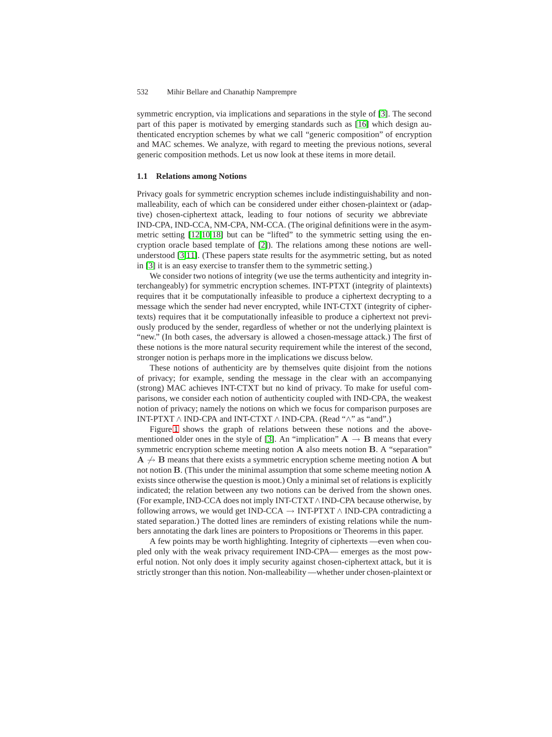symmetric encryption, via implications and separations in the style of [\[3\]](#page-13-0). The second part of this paper is motivated by emerging standards such as [\[16\]](#page-14-1) which design authenticated encryption schemes by what we call "generic composition" of encryption and MAC schemes. We analyze, with regard to meeting the previous notions, several generic composition methods. Let us now look at these items in more detail.

## **1.1 Relations among Notions**

Privacy goals for symmetric encryption schemes include indistinguishability and nonmalleability, each of which can be considered under either chosen-plaintext or (adaptive) chosen-ciphertext attack, leading to four notions of security we abbreviate IND-CPA, IND-CCA, NM-CPA, NM-CCA. (The original definitions were in the asymmetric setting [\[12,](#page-14-2)[10](#page-14-3)[,18\]](#page-14-4) but can be "lifted" to the symmetric setting using the encryption oracle based template of [\[2\]](#page-13-1)). The relations among these notions are wellunderstood [\[3,](#page-13-0)[11\]](#page-14-5). (These papers state results for the asymmetric setting, but as noted in [\[3\]](#page-13-0) it is an easy exercise to transfer them to the symmetric setting.)

We consider two notions of integrity (we use the terms authenticity and integrity interchangeably) for symmetric encryption schemes. INT-PTXT (integrity of plaintexts) requires that it be computationally infeasible to produce a ciphertext decrypting to a message which the sender had never encrypted, while INT-CTXT (integrity of ciphertexts) requires that it be computationally infeasible to produce a ciphertext not previously produced by the sender, regardless of whether or not the underlying plaintext is "new." (In both cases, the adversary is allowed a chosen-message attack.) The first of these notions is the more natural security requirement while the interest of the second, stronger notion is perhaps more in the implications we discuss below.

These notions of authenticity are by themselves quite disjoint from the notions of privacy; for example, sending the message in the clear with an accompanying (strong) MAC achieves INT-CTXT but no kind of privacy. To make for useful comparisons, we consider each notion of authenticity coupled with IND-CPA, the weakest notion of privacy; namely the notions on which we focus for comparison purposes are INT-PTXT ∧ IND-CPA and INT-CTXT ∧ IND-CPA. (Read "∧" as "and".)

Figure [1](#page-2-0) shows the graph of relations between these notions and the above-mentioned older ones in the style of [\[3\]](#page-13-0). An "implication"  $A \rightarrow B$  means that every symmetric encryption scheme meeting notion **A** also meets notion **B**. A "separation"  $A \nightharpoonup B$  means that there exists a symmetric encryption scheme meeting notion A but not notion **B**. (This under the minimal assumption that some scheme meeting notion **A** exists since otherwise the question is moot.) Only a minimal set of relations is explicitly indicated; the relation between any two notions can be derived from the shown ones. (For example, IND-CCA does not imply INT-CTXT∧IND-CPA because otherwise, by following arrows, we would get IND-CCA  $\rightarrow$  INT-PTXT  $\land$  IND-CPA contradicting a stated separation.) The dotted lines are reminders of existing relations while the numbers annotating the dark lines are pointers to Propositions or Theorems in this paper.

A few points may be worth highlighting. Integrity of ciphertexts —even when coupled only with the weak privacy requirement IND-CPA— emerges as the most powerful notion. Not only does it imply security against chosen-ciphertext attack, but it is strictly stronger than this notion. Non-malleability —whether under chosen-plaintext or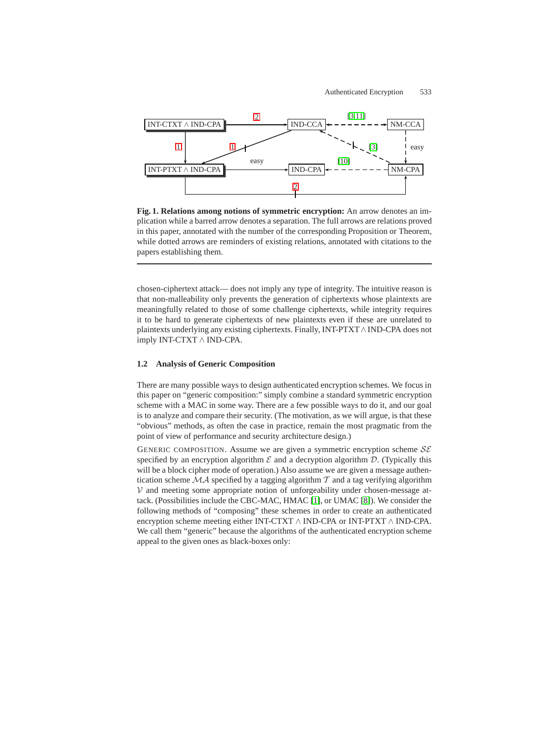

<span id="page-2-0"></span>**Fig. 1. Relations among notions of symmetric encryption:** An arrow denotes an implication while a barred arrow denotes a separation. The full arrows are relations proved in this paper, annotated with the number of the corresponding Proposition or Theorem, while dotted arrows are reminders of existing relations, annotated with citations to the papers establishing them.

chosen-ciphertext attack— does not imply any type of integrity. The intuitive reason is that non-malleability only prevents the generation of ciphertexts whose plaintexts are meaningfully related to those of some challenge ciphertexts, while integrity requires it to be hard to generate ciphertexts of new plaintexts even if these are unrelated to plaintexts underlying any existing ciphertexts. Finally, INT-PTXT∧IND-CPA does not imply INT-CTXT ∧ IND-CPA.

## **1.2 Analysis of Generic Composition**

There are many possible ways to design authenticated encryption schemes. We focus in this paper on "generic composition:" simply combine a standard symmetric encryption scheme with a MAC in some way. There are a few possible ways to do it, and our goal is to analyze and compare their security. (The motivation, as we will argue, is that these "obvious" methods, as often the case in practice, remain the most pragmatic from the point of view of performance and security architecture design.)

GENERIC COMPOSITION. Assume we are given a symmetric encryption scheme  $S\mathcal{E}$ specified by an encryption algorithm  $\mathcal E$  and a decryption algorithm  $\mathcal D$ . (Typically this will be a block cipher mode of operation.) Also assume we are given a message authentication scheme  $MA$  specified by a tagging algorithm  $T$  and a tag verifying algorithm  $V$  and meeting some appropriate notion of unforgeability under chosen-message attack. (Possibilities include the CBC-MAC, HMAC [\[1\]](#page-13-2), or UMAC [\[8\]](#page-13-3)). We consider the following methods of "composing" these schemes in order to create an authenticated encryption scheme meeting either INT-CTXT ∧ IND-CPA or INT-PTXT ∧ IND-CPA. We call them "generic" because the algorithms of the authenticated encryption scheme appeal to the given ones as black-boxes only: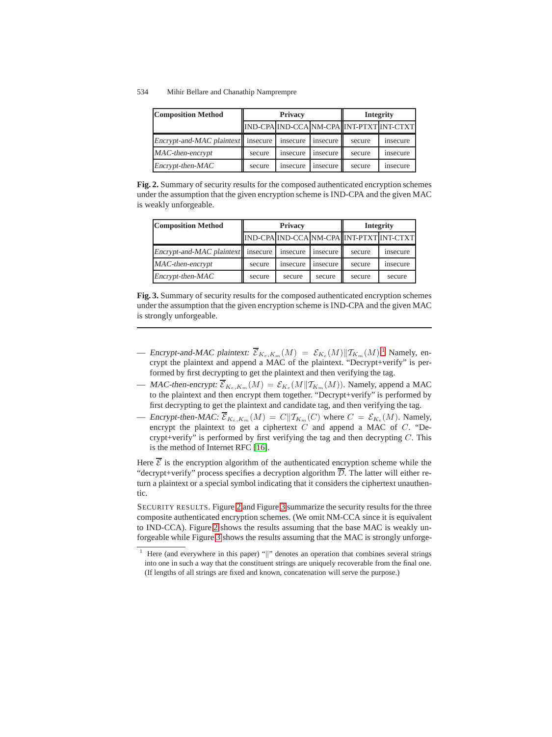| <b>Composition Method</b>            | <b>Privacy</b> |          |            | <b>Integrity</b>                         |                  |
|--------------------------------------|----------------|----------|------------|------------------------------------------|------------------|
|                                      |                |          |            | IND-CPA IND-CCA NM-CPA INT-PTXT INT-CTXT |                  |
| Encrypt-and-MAC plaintext   insecure |                | insecure | insecure   | secure                                   | <i>s</i> nsecure |
| $MAC-then-encrypt$                   | secure         | insecure | insecure l | secure                                   | insecure         |
| $\text{Encrypt-then-MAC}$            | secure         | insecure | insecure l | secure                                   | <i>s</i> nsecure |

<span id="page-3-1"></span>**Fig. 2.** Summary of security results for the composed authenticated encryption schemes under the assumption that the given encryption scheme is IND-CPA and the given MAC is weakly unforgeable.

| <b>Composition Method</b>            | <b>Privacy</b> |          |          | <b>Integrity</b>                         |                  |
|--------------------------------------|----------------|----------|----------|------------------------------------------|------------------|
|                                      |                |          |          | IND-CPA IND-CCA NM-CPA INT-PTXT INT-CTXT |                  |
| Encrypt-and-MAC plaintext   insecure |                | insecure | insecure | secure                                   | <i>s</i> nsecure |
| MAC-then-encrypt                     | secure         | insecure | insecure | secure                                   | <i>s</i> nsecure |
| Encrypt-then-MAC                     | secure         | secure   | secure   | secure                                   | secure           |

<span id="page-3-2"></span>**Fig. 3.** Summary of security results for the composed authenticated encryption schemes under the assumption that the given encryption scheme is IND-CPA and the given MAC is strongly unforgeable.

- Encrypt-and-MAC plaintext:  $\overline{\mathcal{E}}_{K_e,K_m}(M) = \mathcal{E}_{K_e}(M) || T_{K_m}(M)$ .<sup>[1](#page-3-0)</sup> Namely, encrypt the plaintext and append a MAC of the plaintext "Decrypt+verify" is percrypt the plaintext and append a MAC of the plaintext. "Decrypt+verify" is performed by first decrypting to get the plaintext and then verifying the tag.
- MAC-then-encrypt:  $\overline{\mathcal{E}}_{K_e,K_m}(M) = \mathcal{E}_{K_e}(M||T_{K_m}(M))$ . Namely, append a MAC to the plaintext and then encrypt them together. "Decrypt+verify" is performed by first decrypting to get the plaintext and candidate tag, and then verifying the tag.
- Encrypt-then-MAC:  $\overline{\mathcal{E}}_{K_e,K_m}(M) = C||T_{K_m}(C)$  where  $C = \mathcal{E}_{K_e}(M)$ . Namely, encrypt the plaintext to get a ciphertext C and append a MAC of C. "Decrypt+verify" is performed by first verifying the tag and then decrypting  $C$ . This is the method of Internet RFC [\[16\]](#page-14-1).

Here  $\overline{\mathcal{E}}$  is the encryption algorithm of the authenticated encryption scheme while the "decrypt+verify" process specifies a decryption algorithm  $D$ . The latter will either return a plaintext or a special symbol indicating that it considers the ciphertext unauthentic.

SECURITY RESULTS. Figure [2](#page-3-1) and Figure [3](#page-3-2) summarize the security results for the three composite authenticated encryption schemes. (We omit NM-CCA since it is equivalent to IND-CCA). Figure [2](#page-3-1) shows the results assuming that the base MAC is weakly unforgeable while Figure [3](#page-3-2) shows the results assuming that the MAC is strongly unforge-

<span id="page-3-0"></span>Here (and everywhere in this paper) "||" denotes an operation that combines several strings into one in such a way that the constituent strings are uniquely recoverable from the final one. (If lengths of all strings are fixed and known, concatenation will serve the purpose.)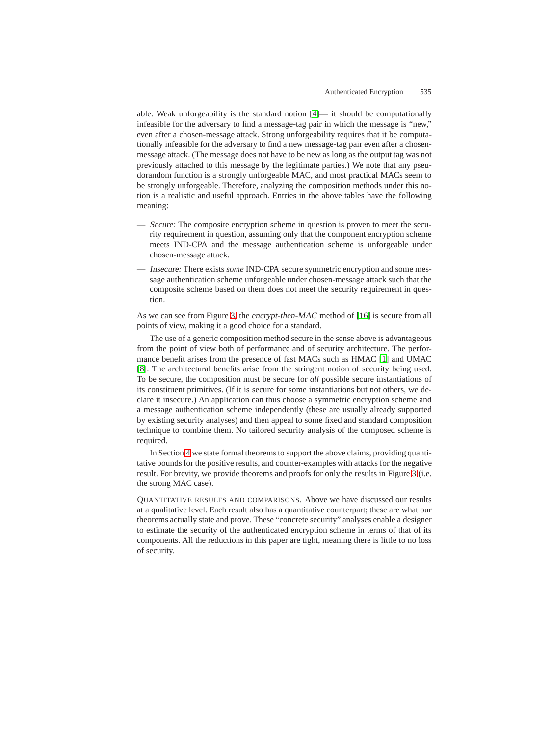able. Weak unforgeability is the standard notion [\[4\]](#page-13-4)— it should be computationally infeasible for the adversary to find a message-tag pair in which the message is "new," even after a chosen-message attack. Strong unforgeability requires that it be computationally infeasible for the adversary to find a new message-tag pair even after a chosenmessage attack. (The message does not have to be new as long as the output tag was not previously attached to this message by the legitimate parties.) We note that any pseudorandom function is a strongly unforgeable MAC, and most practical MACs seem to be strongly unforgeable. Therefore, analyzing the composition methods under this notion is a realistic and useful approach. Entries in the above tables have the following meaning:

- Secure: The composite encryption scheme in question is proven to meet the security requirement in question, assuming only that the component encryption scheme meets IND-CPA and the message authentication scheme is unforgeable under chosen-message attack.
- Insecure: There exists *some* IND-CPA secure symmetric encryption and some message authentication scheme unforgeable under chosen-message attack such that the composite scheme based on them does not meet the security requirement in question.

As we can see from Figure [3,](#page-3-2) the encrypt-then-MAC method of [\[16\]](#page-14-1) is secure from all points of view, making it a good choice for a standard.

The use of a generic composition method secure in the sense above is advantageous from the point of view both of performance and of security architecture. The performance benefit arises from the presence of fast MACs such as HMAC [\[1\]](#page-13-2) and UMAC [\[8\]](#page-13-3). The architectural benefits arise from the stringent notion of security being used. To be secure, the composition must be secure for *all* possible secure instantiations of its constituent primitives. (If it is secure for some instantiations but not others, we declare it insecure.) An application can thus choose a symmetric encryption scheme and a message authentication scheme independently (these are usually already supported by existing security analyses) and then appeal to some fixed and standard composition technique to combine them. No tailored security analysis of the composed scheme is required.

In Section [4](#page-10-4) we state formal theorems to support the above claims, providing quantitative bounds for the positive results, and counter-examples with attacks for the negative result. For brevity, we provide theorems and proofs for only the results in Figure [3](#page-3-2) (i.e. the strong MAC case).

QUANTITATIVE RESULTS AND COMPARISONS. Above we have discussed our results at a qualitative level. Each result also has a quantitative counterpart; these are what our theorems actually state and prove. These "concrete security" analyses enable a designer to estimate the security of the authenticated encryption scheme in terms of that of its components. All the reductions in this paper are tight, meaning there is little to no loss of security.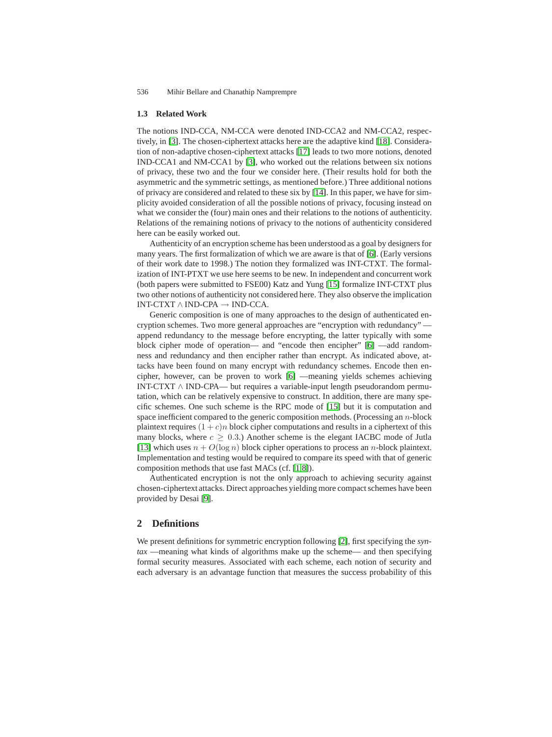#### **1.3 Related Work**

The notions IND-CCA, NM-CCA were denoted IND-CCA2 and NM-CCA2, respectively, in [\[3\]](#page-13-0). The chosen-ciphertext attacks here are the adaptive kind [\[18\]](#page-14-4). Consideration of non-adaptive chosen-ciphertext attacks [\[17\]](#page-14-6) leads to two more notions, denoted IND-CCA1 and NM-CCA1 by [\[3\]](#page-13-0), who worked out the relations between six notions of privacy, these two and the four we consider here. (Their results hold for both the asymmetric and the symmetric settings, as mentioned before.) Three additional notions of privacy are considered and related to these six by [\[14\]](#page-14-7). In this paper, we have for simplicity avoided consideration of all the possible notions of privacy, focusing instead on what we consider the (four) main ones and their relations to the notions of authenticity. Relations of the remaining notions of privacy to the notions of authenticity considered here can be easily worked out.

Authenticity of an encryption scheme has been understood as a goal by designers for many years. The first formalization of which we are aware is that of [\[6\]](#page-13-5). (Early versions of their work date to 1998.) The notion they formalized was INT-CTXT. The formalization of INT-PTXT we use here seems to be new. In independent and concurrent work (both papers were submitted to FSE00) Katz and Yung [\[15\]](#page-14-8) formalize INT-CTXT plus two other notions of authenticity not considered here. They also observe the implication INT-CTXT ∧ IND-CPA → IND-CCA.

Generic composition is one of many approaches to the design of authenticated encryption schemes. Two more general approaches are "encryption with redundancy" append redundancy to the message before encrypting, the latter typically with some block cipher mode of operation— and "encode then encipher" [\[6\]](#page-13-5) —add randomness and redundancy and then encipher rather than encrypt. As indicated above, attacks have been found on many encrypt with redundancy schemes. Encode then encipher, however, can be proven to work [\[6\]](#page-13-5) —meaning yields schemes achieving INT-CTXT ∧ IND-CPA— but requires a variable-input length pseudorandom permutation, which can be relatively expensive to construct. In addition, there are many specific schemes. One such scheme is the RPC mode of [\[15\]](#page-14-8) but it is computation and space inefficient compared to the generic composition methods. (Processing an  $n$ -block plaintext requires  $(1 + c)n$  block cipher computations and results in a ciphertext of this many blocks, where  $c \geq 0.3$ .) Another scheme is the elegant IACBC mode of Jutla [\[13\]](#page-14-9) which uses  $n + O(\log n)$  block cipher operations to process an *n*-block plaintext. Implementation and testing would be required to compare its speed with that of generic composition methods that use fast MACs (cf. [\[1](#page-13-2)[,8\]](#page-13-3)).

Authenticated encryption is not the only approach to achieving security against chosen-ciphertext attacks. Direct approaches yielding more compact schemes have been provided by Desai [\[9\]](#page-14-10).

### **2 Definitions**

We present definitions for symmetric encryption following [\[2\]](#page-13-1), first specifying the *syntax* —meaning what kinds of algorithms make up the scheme— and then specifying formal security measures. Associated with each scheme, each notion of security and each adversary is an advantage function that measures the success probability of this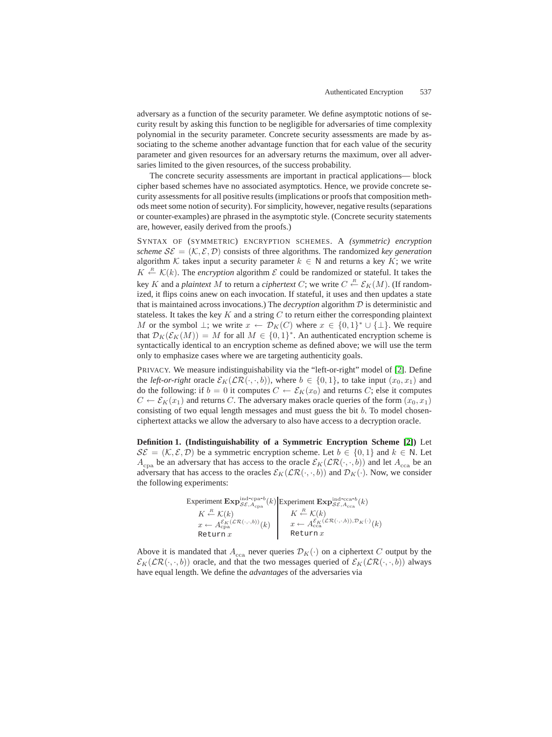adversary as a function of the security parameter. We define asymptotic notions of security result by asking this function to be negligible for adversaries of time complexity polynomial in the security parameter. Concrete security assessments are made by associating to the scheme another advantage function that for each value of the security parameter and given resources for an adversary returns the maximum, over all adversaries limited to the given resources, of the success probability.

The concrete security assessments are important in practical applications— block cipher based schemes have no associated asymptotics. Hence, we provide concrete security assessments for all positive results (implications or proofs that composition methods meet some notion of security). For simplicity, however, negative results (separations or counter-examples) are phrased in the asymptotic style. (Concrete security statements are, however, easily derived from the proofs.)

SYNTAX OF (SYMMETRIC) ENCRYPTION SCHEMES. A *(symmetric) encryption scheme*  $S\mathcal{E} = (\mathcal{K}, \mathcal{E}, \mathcal{D})$  consists of three algorithms. The randomized *key generation* algorithm K takes input a security parameter  $k \in \mathbb{N}$  and returns a key K; we write  $K \xleftarrow{R} \mathcal{K}(k)$ . The *encryption* algorithm  $\mathcal{E}$  could be randomized or stateful. It takes the key K and a *plaintext* M to return a *ciphertext* C; we write  $C \stackrel{R}{\leftarrow} \mathcal{E}_K(M)$ . (If random-<br>ized it flips coins anew on each invocation. If stateful, it uses and then undates a state ized, it flips coins anew on each invocation. If stateful, it uses and then updates a state that is maintained across invocations.) The *decryption* algorithm D is deterministic and stateless. It takes the key  $K$  and a string  $C$  to return either the corresponding plaintext *M* or the symbol  $\bot$ ; we write  $x \leftarrow \mathcal{D}_K(C)$  where  $x \in \{0,1\}^* \cup \{\bot\}$ . We require that  $\mathcal{D}_K(\mathcal{E}_K(M)) = M$  for all  $M \in \{0,1\}^*$ . An authenticated encryption scheme is syntactically identical to an encryption scheme as defined above; we will use the term only to emphasize cases where we are targeting authenticity goals.

PRIVACY. We measure indistinguishability via the "left-or-right" model of [\[2\]](#page-13-1). Define the *left-or-right* oracle  $\mathcal{E}_K(\mathcal{LR}(\cdot,\cdot,b))$ , where  $b \in \{0,1\}$ , to take input  $(x_0, x_1)$  and do the following: if  $b = 0$  it computes  $C \leftarrow \mathcal{E}_K(x_0)$  and returns C; else it computes  $C \leftarrow \mathcal{E}_K(x_1)$  and returns C. The adversary makes oracle queries of the form  $(x_0, x_1)$ consisting of two equal length messages and must guess the bit b. To model chosenciphertext attacks we allow the adversary to also have access to a decryption oracle.

**Definition 1. (Indistinguishability of a Symmetric Encryption Scheme [\[2\]](#page-13-1))** Let  $\mathcal{S}\mathcal{E} = (\mathcal{K}, \mathcal{E}, \mathcal{D})$  be a symmetric encryption scheme. Let  $b \in \{0, 1\}$  and  $k \in \mathbb{N}$ . Let  $A_{\text{cna}}$  be an adversary that has access to the oracle  $\mathcal{E}_K(\mathcal{LR}(\cdot,\cdot,b))$  and let  $A_{\text{cca}}$  be an adversary that has access to the oracles  $\mathcal{E}_K(\mathcal{LR}(\cdot,\cdot,b))$  and  $\mathcal{D}_K(\cdot)$ . Now, we consider the following experiments:

Experiment  $\mathbf{Exp}_{\mathcal{SE},A_{\text{cpa}}}^{\text{ind-cpa-}b}(k)$  $K \stackrel{R}{\leftarrow} \mathcal{K}(k)$  $x \leftarrow A_{\rm cpa}^{\mathcal{E}_K(\mathcal{LR}(\cdot,\cdot,b))}(k)$  $R$ eturn $x$ Experiment  $\mathbf{Exp}_{\mathcal{SE},A_{\text{cca}}}^{\text{ind-cca-}b}(k)$  $K \stackrel{R}{\leftarrow} \mathcal{K}(k)$  $x \leftarrow A_{\text{cca}}^{\mathcal{E}_K(\mathcal{LR}(\cdot,\cdot,b)),\mathcal{D}_K(\cdot)}(k)$ Return $x$ 

Above it is mandated that  $A_{\text{cca}}$  never queries  $\mathcal{D}_K(\cdot)$  on a ciphertext C output by the  $\mathcal{E}_K(\mathcal{LR}(\cdot,\cdot,b))$  oracle, and that the two messages queried of  $\mathcal{E}_K(\mathcal{LR}(\cdot,\cdot,b))$  always have equal length. We define the *advantages* of the adversaries via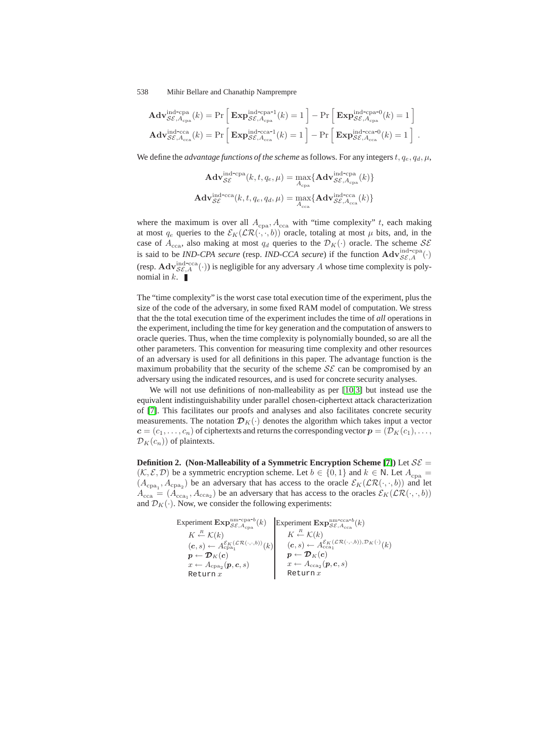$$
\mathbf{Adv}_{\mathcal{SE}, A_{\text{cpa}}}^{\text{ind-cpa}}(k) = \Pr\left[\mathbf{Exp}_{\mathcal{SE}, A_{\text{cpa}}}^{\text{ind-cpa-1}}(k) = 1\right] - \Pr\left[\mathbf{Exp}_{\mathcal{SE}, A_{\text{cpa}}}^{\text{ind-cpa-0}}(k) = 1\right]
$$

$$
\mathbf{Adv}_{\mathcal{SE}, A_{\text{cca}}}^{\text{ind-cca}}(k) = \Pr\left[\mathbf{Exp}_{\mathcal{SE}, A_{\text{cca}}}^{\text{ind-cca-1}}(k) = 1\right] - \Pr\left[\mathbf{Exp}_{\mathcal{SE}, A_{\text{cca}}}^{\text{ind-cca-0}}(k) = 1\right].
$$

We define the *advantage functions of the scheme* as follows. For any integers  $t, q_e, q_d, \mu$ ,

$$
\mathbf{Adv}_{\mathcal{SE}}^{\text{ind-cpa}}(k, t, q_e, \mu) = \max_{A_{\text{cpa}}} \{ \mathbf{Adv}_{\mathcal{SE}, A_{\text{cpa}}}^{\text{ind-cpa}}(k) \}
$$
\n
$$
\mathbf{Adv}_{\mathcal{SE}}^{\text{ind-cca}}(k, t, q_e, q_d, \mu) = \max_{A_{\text{cca}}} \{ \mathbf{Adv}_{\mathcal{SE}, A_{\text{cca}}}^{\text{ind-cca}}(k) \}
$$

where the maximum is over all  $A_{\text{cpa}}$ ,  $A_{\text{cca}}$  with "time complexity" t, each making at most  $q_e$  queries to the  $\mathcal{E}_K(\mathcal{LR}(\cdot,\cdot,b))$  oracle, totaling at most  $\mu$  bits, and, in the case of  $A_{\text{cca}}$ , also making at most  $q_d$  queries to the  $\mathcal{D}_K(\cdot)$  oracle. The scheme  $\mathcal{S}\mathcal{E}$ is said to be *IND-CPA secure* (resp. *IND-CCA secure*) if the function  $\mathbf{Adv}_{\mathcal{SE},A}^{\text{ind-cpa}}(\cdot)$  $\mathcal{SE}_{A}^{m\alpha-cpa}(\cdot)$ (resp.  $\mathbf{Adv}_{\mathcal{SE},A}^{\text{ind--}\text{cca}}(\cdot)$ ) is negligible for any adversary A whose time complexity is poly-<br>nomial in k.

The "time complexity" is the worst case total execution time of the experiment, plus the size of the code of the adversary, in some fixed RAM model of computation. We stress that the the total execution time of the experiment includes the time of *all* operations in the experiment, including the time for key generation and the computation of answers to oracle queries. Thus, when the time complexity is polynomially bounded, so are all the other parameters. This convention for measuring time complexity and other resources of an adversary is used for all definitions in this paper. The advantage function is the maximum probability that the security of the scheme  $\mathcal{SE}$  can be compromised by an adversary using the indicated resources, and is used for concrete security analyses.

We will not use definitions of non-malleability as per [\[10](#page-14-3)[,3\]](#page-13-0) but instead use the equivalent indistinguishability under parallel chosen-ciphertext attack characterization of [\[7\]](#page-13-6). This facilitates our proofs and analyses and also facilitates concrete security measurements. The notation  $\mathcal{D}_K(\cdot)$  denotes the algorithm which takes input a vector  $c = (c_1, \ldots, c_n)$  of ciphertexts and returns the corresponding vector  $p = (\mathcal{D}_K(c_1), \ldots, c_n)$  $\mathcal{D}_K(c_n)$  of plaintexts.

**Definition 2.** (Non-Malleability of a Symmetric Encryption Scheme [\[7\]](#page-13-6)) Let  $S\mathcal{E}$  =  $(\mathcal{K}, \mathcal{E}, \mathcal{D})$  be a symmetric encryption scheme. Let  $b \in \{0, 1\}$  and  $k \in \mathbb{N}$ . Let  $A_{\text{cpa}} =$  $(A_{\text{cpa}_1}, A_{\text{cpa}_2})$  be an adversary that has access to the oracle  $\mathcal{E}_K(\mathcal{LR}(\cdot, \cdot, b))$  and let  $A = (A \cup A)$  be an adversary that has access to the oracles  $\mathcal{E}_{K}(\mathcal{CR}(\cdot, b))$  $A_{\text{cca}} = (A_{\text{cca}_1}, A_{\text{cca}_2})$  be an adversary that has access to the oracles  $\mathcal{E}_K(\mathcal{LR}(\cdot, \cdot, b))$ and  $\mathcal{D}_K(\cdot)$ . Now, we consider the following experiments:

> Experiment  $\mathbf{Exp}_{\mathcal{SE},A_{\text{cpa}}}^{\text{nm-cpa-}b}(k)$  $K \stackrel{R}{\leftarrow} \mathcal{K}(k)$  $(c, s) \leftarrow A_{\text{cpa}_1}^{\mathcal{E}_{K}(\mathcal{LR}(\cdot, \cdot, b))}(k)$  $\boldsymbol{p} \leftarrow \boldsymbol{\mathcal{D}}_K (\boldsymbol{c})$  $x \leftarrow A_{\text{cpa}_2} (\boldsymbol{p}, \boldsymbol{c}, s)$ Return  $x$ Experiment  $\mathbf{Exp}_{\mathcal{SE},A_{\text{cca}}}^{\text{nm-cca-}b}(k)$  $K \stackrel{R}{\leftarrow} \mathcal{K}(k)$  $(c, s) \leftarrow A_{\text{cca}_1}^{\mathcal{E}_{K}(\mathcal{LR}(\cdot, \cdot, b)), \mathcal{D}_{K}(\cdot)}(k)$  $\boldsymbol{p} \leftarrow \boldsymbol{\mathcal{D}}_K(\boldsymbol{c})$  $x \leftarrow A_{\text{cca}_2}(\bm{p}, \bm{c}, s)$  $\texttt{Return } x$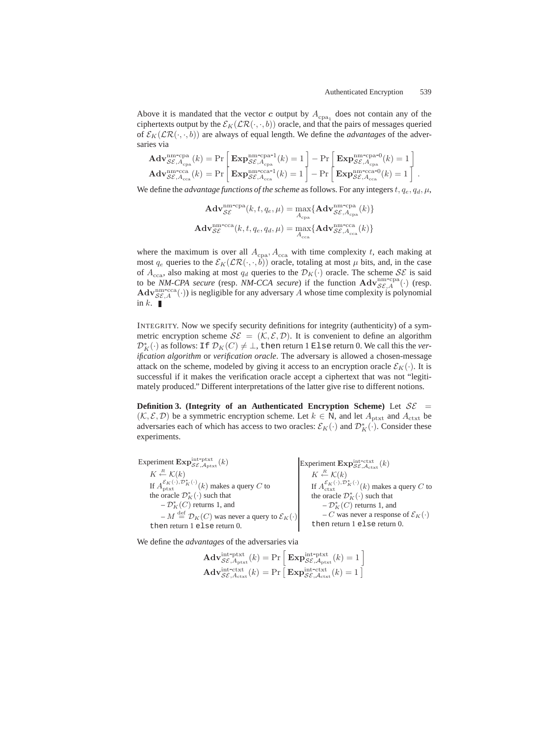Above it is mandated that the vector *c* output by  $A_{\text{cpa}_1}$  does not contain any of the ciphertexts output by the  $\mathcal{E}_K(\mathcal{LR}(\cdot,\cdot,b))$  oracle, and that the pairs of messages queried of  $\mathcal{E}_{K}(\mathcal{LR}(\cdot,\cdot,b))$  are always of equal length. We define the *advantages* of the adversaries via

$$
\mathbf{Adv}_{\mathcal{SE},A_{\text{cpa}}}^{\text{nm-cpa}}(k) = \Pr\left[\mathbf{Exp}_{\mathcal{SE},A_{\text{cpa}}}^{\text{nm-cpa-1}}(k) = 1\right] - \Pr\left[\mathbf{Exp}_{\mathcal{SE},A_{\text{cpa}}}^{\text{nm-cpa-0}}(k) = 1\right] \text{.}
$$
\n
$$
\mathbf{Adv}_{\mathcal{SE},A_{\text{cca}}}^{\text{nm-cca}}(k) = \Pr\left[\mathbf{Exp}_{\mathcal{SE},A_{\text{cca}}}^{\text{nm-cca-1}}(k) = 1\right] - \Pr\left[\mathbf{Exp}_{\mathcal{SE},A_{\text{cca}}}^{\text{nm-cca-0}}(k) = 1\right] \text{.}
$$

We define the *advantage functions of the scheme* as follows. For any integers  $t, q_e, q_d, \mu$ ,

$$
\mathbf{Adv}_{\mathcal{SE}}^{\text{nm-cpa}}(k, t, q_e, \mu) = \max_{A_{\text{cpa}}} \{ \mathbf{Adv}_{\mathcal{SE}, A_{\text{cpa}}}^{\text{nm-cpa}}(k) \}
$$
\n
$$
\mathbf{Adv}_{\mathcal{SE}}^{\text{nm-cca}}(k, t, q_e, q_d, \mu) = \max_{A_{\text{cca}}} \{ \mathbf{Adv}_{\mathcal{SE}, A_{\text{cca}}}^{\text{nm-cca}}(k) \}
$$

where the maximum is over all  $A_{\text{cpa}}$ ,  $A_{\text{cca}}$  with time complexity t, each making at most  $q_e$  queries to the  $\mathcal{E}_K(\mathcal{LR}(\cdot,\cdot,b))$  oracle, totaling at most  $\mu$  bits, and, in the case of  $A_{cca}$ , also making at most  $q_d$  queries to the  $\mathcal{D}_K(\cdot)$  oracle. The scheme  $\mathcal{SE}$  is said to be *NM-CPA secure* (resp. *NM-CCA secure*) if the function  $\mathbf{Adv}_{\mathcal{SE},A}^{\text{nm-cpa}}(\cdot)$  (resp.<br>  $\mathbf{Adv}_{\text{nm-cca}}^{\text{nm-cca}}(\cdot)$ ) is negligible for any adversary *A* whose time complexity is nolynomial  $\mathbf{Adv}_{\mathcal{SE},A}^{\text{nm-cca}}(\cdot)$ ) is negligible for any adversary A whose time complexity is polynomial in  $k$ .  $\blacksquare$ 

INTEGRITY. Now we specify security definitions for integrity (authenticity) of a symmetric encryption scheme  $\mathcal{SE} = (K, \mathcal{E}, \mathcal{D})$ . It is convenient to define an algorithm  $\mathcal{D}_{K}^{*}(\cdot)$  as follows: If  $\mathcal{D}_{K}(C) \neq \bot$ , then return 1 Else return 0. We call this the *ver-*<br>*ification algorithm* or *verification gracle*. The adversary is allowed a chosen-message *ification algorithm* or *verification oracle*. The adversary is allowed a chosen-message attack on the scheme, modeled by giving it access to an encryption oracle  $\mathcal{E}_K(\cdot)$ . It is successful if it makes the verification oracle accept a ciphertext that was not "legitimately produced." Different interpretations of the latter give rise to different notions.

**Definition 3. (Integrity of an Authenticated Encryption Scheme)** Let  $SE =$  $(\mathcal{K}, \mathcal{E}, \mathcal{D})$  be a symmetric encryption scheme. Let  $k \in \mathbb{N}$ , and let  $A_{\text{ptxt}}$  and  $A_{\text{ctxt}}$  be adversaries each of which has access to two oracles:  $\mathcal{E}_K(\cdot)$  and  $\mathcal{D}_K^*(\cdot)$ . Consider these experiments experiments.

Experiment  $\mathbf{Exp}_{\mathcal{SE},\mathcal{A}_{\text{ptxt}}}^{\text{int-ptxt}}(k)$  $K \stackrel{R}{\leftarrow} \mathcal{K}(k)$ If  $A_{\text{ptxt}}^{\mathcal{E}_K(\cdot), \mathcal{D}_K^*(\cdot)}(k)$  makes a query C to the oracle  $\mathcal{D}_K^*(\cdot)$  such that  $-\mathcal{D}^*_K(C)$  returns 1, and  $-M \stackrel{\text{def}}{=} \mathcal{D}_K(C)$  was never a query to  $\mathcal{E}_K(\cdot)$ then return 1 else return 0. Experiment  $\text{Exp}_{\mathcal{SE},\mathcal{A}_{\text{ctxt}}}^{\text{int-ctxt}}(k)$  $K \stackrel{R}{\leftarrow} \mathcal{K}(k)$ If  $A_{\text{ctxt}}^{\mathcal{E}_K(\cdot), \mathcal{D}_K^*(\cdot)}(k)$  makes a query C to the oracle  $\mathcal{D}_K^*(\cdot)$  such that  $-\mathcal{D}^*_K(C)$  returns 1, and  $-C$  was never a response of  $\mathcal{E}_K(\cdot)$ then return 1 else return 0.

We define the *advantages* of the adversaries via

$$
\mathbf{Adv}_{\mathcal{SE},A_{\text{ptxt}}}^{\text{int-ptxt}}(k) = \Pr \left[ \mathbf{Exp}_{\mathcal{SE},A_{\text{ptxt}}}^{\text{int-ptxt}}(k) = 1 \right]
$$

$$
\mathbf{Adv}_{\mathcal{SE},A_{\text{ctxt}}}^{\text{int-ctxt}}(k) = \Pr \left[ \mathbf{Exp}_{\mathcal{SE},A_{\text{ctxt}}}^{\text{int-ctxt}}(k) = 1 \right]
$$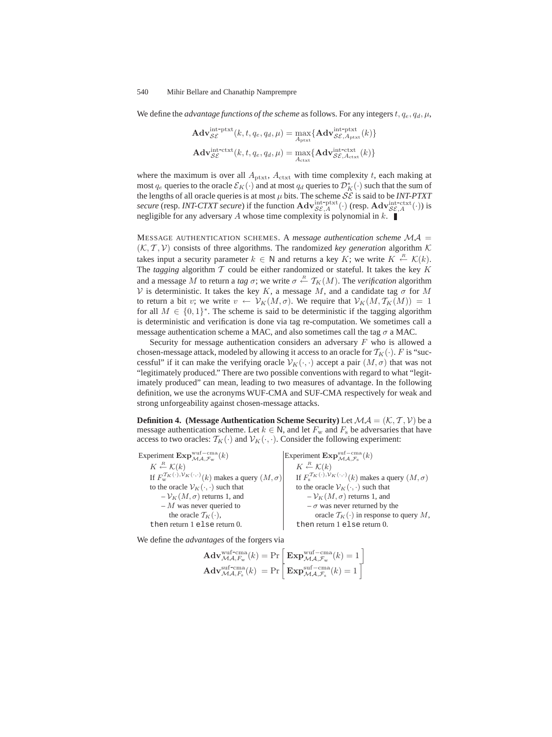We define the *advantage functions of the scheme* as follows. For any integers  $t, q_e, q_d, \mu$ ,

$$
\mathbf{Adv}_{\mathcal{SE}}^{\text{int-put}}(k, t, q_e, q_d, \mu) = \max_{A_{\text{ptxt}}} \{ \mathbf{Adv}_{\mathcal{SE}, A_{\text{ptxt}}}^{\text{int-put}}(k) \}
$$
\n
$$
\mathbf{Adv}_{\mathcal{SE}}^{\text{int-ctxt}}(k, t, q_e, q_d, \mu) = \max_{A_{\text{ctxt}}} \{ \mathbf{Adv}_{\mathcal{SE}, A_{\text{ctxt}}}^{\text{int-ctx}}(k) \}
$$

where the maximum is over all  $A_{\text{ptxt}}$ ,  $A_{\text{ctxt}}$  with time complexity t, each making at most  $q_e$  queries to the oracle  $\mathcal{E}_K(\cdot)$  and at most  $q_d$  queries to  $\mathcal{D}_K^*(\cdot)$  such that the sum of the lengths of all oracle queries is at most  $\mu$  bits. The scheme *SS* is said to be *INT PTYT* the lengths of all oracle queries is at most  $\mu$  bits. The scheme  $\mathcal{SE}$  is said to be *INT-PTXT secure* (resp. *INT-CTXT secure*) if the function  $\mathbf{Adv}_{\mathcal{SE},A}^{\text{int-ptxt}}(\cdot)$  (resp.  $\mathbf{Adv}_{\mathcal{SE},A}^{\text{int-ext}}(\cdot)$ ) is negligible for any adversary A whose time complexity is polynomial in  $k$ negligible for any adversary A whose time complexity is polynomial in  $k$ .

MESSAGE AUTHENTICATION SCHEMES. A *message authentication scheme* MA =  $(K, \mathcal{T}, \mathcal{V})$  consists of three algorithms. The randomized *key generation* algorithm K takes input a security parameter  $k \in \mathbb{N}$  and returns a key K; we write  $K \stackrel{R}{\leftarrow} \mathcal{K}(k)$ .<br>The *tagging* algorithm  $\mathcal{T}$  could be either randomized or stateful. It takes the key K The *tagging* algorithm  $T$  could be either randomized or stateful. It takes the key  $K$ and a message M to return a *tag*  $\sigma$ ; we write  $\sigma \stackrel{R}{\leftarrow} T_K(M)$ . The *verification* algorithm  $\mathcal{V}$  is deterministic. It takes the key K a message M and a candidate tag  $\sigma$  for M V is deterministic. It takes the key K, a message M, and a candidate tag  $\sigma$  for M to return a bit v; we write  $v \leftarrow V_K(M, \sigma)$ . We require that  $V_K(M, \mathcal{T}_K(M)) = 1$ for all  $M \in \{0,1\}^*$ . The scheme is said to be deterministic if the tagging algorithm is deterministic and verification is done via tag re-computation. We sometimes call a message authentication scheme a MAC, and also sometimes call the tag  $\sigma$  a MAC.

Security for message authentication considers an adversary  $F$  who is allowed a chosen-message attack, modeled by allowing it access to an oracle for  $T_K(\cdot)$ . F is "successful" if it can make the verifying oracle  $V_K(\cdot, \cdot)$  accept a pair  $(M, \sigma)$  that was not "legitimately produced." There are two possible conventions with regard to what "legitimately produced" can mean, leading to two measures of advantage. In the following definition, we use the acronyms WUF-CMA and SUF-CMA respectively for weak and strong unforgeability against chosen-message attacks.

**Definition 4.** (Message Authentication Scheme Security) Let  $MA = (K, T, V)$  be a message authentication scheme. Let  $k \in \mathbb{N}$ , and let  $F_w$  and  $F_s$  be adversaries that have access to two oracles:  $\mathcal{T}_K(\cdot)$  and  $\mathcal{V}_K(\cdot, \cdot)$ . Consider the following experiment:

Experiment  $\text{Exp}_{\mathcal{MA},\mathcal{F}_{\text{w}}}^{\text{wuf-cma}}(k)$  $K \stackrel{R}{\leftarrow} \mathcal{K}(k)$ If  $F_w^{\mathcal{T}_K(\cdot),\mathcal{V}_K(\cdot,\cdot)}(k)$  makes a query  $(M,\sigma)$ to the oracle  $V_K(\cdot, \cdot)$  such that  $-V_K(M, \sigma)$  returns 1, and  $-M$  was never queried to the oracle  $T_K(\cdot)$ , then return 1 else return 0. Experiment  $\mathbf{Exp}_{\mathcal{MA},\mathcal{F}_s}^{\text{suf-cma}}(k)$  $K \stackrel{R}{\leftarrow} \mathcal{K}(k)$ If  $F_s^{\tau_K(\cdot),\nu_K(\cdot,\cdot)}(k)$  makes a query  $(M,\sigma)$ to the oracle  $\mathcal{V}_K(\cdot, \cdot)$  such that  $-V_K(M, \sigma)$  returns 1, and  $-\sigma$  was never returned by the oracle  $\mathcal{T}_K(\cdot)$  in response to query M, then return 1 else return 0.

We define the *advantages* of the forgers via

$$
\mathbf{Adv}_{\mathcal{MA},F_{\text{w}}}^{\text{wuf-cma}}(k) = \Pr \left[ \mathbf{Exp}_{\mathcal{MA},F_{\text{w}}}^{\text{wuf-cma}}(k) = 1 \right]
$$

$$
\mathbf{Adv}_{\mathcal{MA},F_{\text{s}}}^{\text{suf-cma}}(k) = \Pr \left[ \mathbf{Exp}_{\mathcal{MA},F_{\text{s}}}^{\text{suf-cma}}(k) = 1 \right]
$$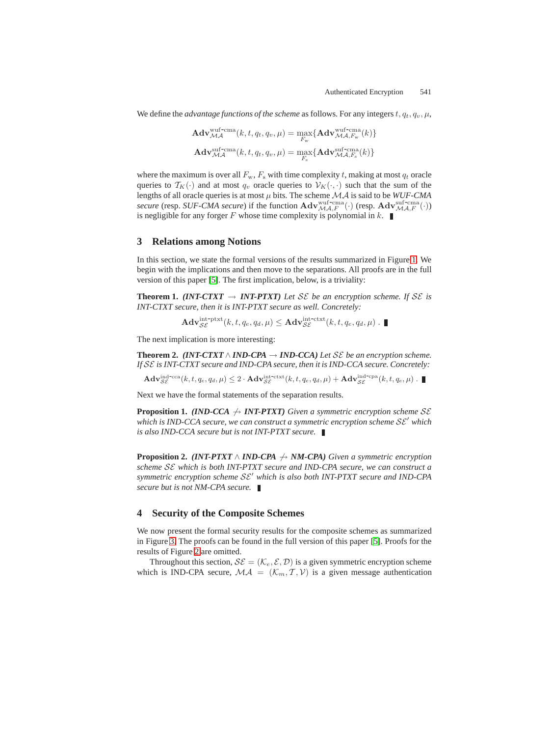We define the *advantage functions of the scheme* as follows. For any integers  $t, q_t, q_v, \mu$ ,

$$
\begin{aligned} \mathbf{Adv}_{\mathcal{MA}}^{\text{wuf-cma}}(k,t,q_t,q_v,\mu) &= \max_{F_{\text{w}}} \{\mathbf{Adv}_{\mathcal{MA},F_{\text{w}}}^{\text{wuf-cma}}(k)\}\\ \mathbf{Adv}_{\mathcal{MA}}^{\text{suf-cma}}(k,t,q_t,q_v,\mu) &= \max_{F_{\text{s}}} \{\mathbf{Adv}_{\mathcal{MA},F_{\text{s}}}^{\text{suf-cma}}(k)\} \end{aligned}
$$

where the maximum is over all  $F_w$ ,  $F_s$  with time complexity t, making at most  $q_t$  oracle queries to  $T_K(\cdot)$  and at most  $q_v$  oracle queries to  $V_K(\cdot, \cdot)$  such that the sum of the lengths of all oracle queries is at most  $\mu$  bits. The scheme  $\mathcal{MA}$  is said to be  $WUF\text{-}CMA$ *secure* (resp. *SUF-CMA secure*) if the function  $\mathbf{Adv}_{\mathcal{MA},F}^{\text{wuf-cma}}(\cdot)$  (resp.  $\mathbf{Adv}_{\mathcal{MA},F}^{\text{suf-cma}}(\cdot)$ ) is negligible for any forger F whose time complexity is polynomial in  $k$ .

## **3 Relations among Notions**

In this section, we state the formal versions of the results summarized in Figure [1.](#page-2-0) We begin with the implications and then move to the separations. All proofs are in the full version of this paper [\[5\]](#page-13-7). The first implication, below, is a triviality:

**Theorem 1.** *(INT-CTXT*  $\rightarrow$  *INT-PTXT) Let* SE *be an encryption scheme. If* SE *is INT-CTXT secure, then it is INT-PTXT secure as well. Concretely:*

<span id="page-10-3"></span><span id="page-10-1"></span><span id="page-10-0"></span>
$$
\mathbf{Adv}_{\mathcal{SE}}^{\text{int-ptxt}}(k, t, q_e, q_d, \mu) \leq \mathbf{Adv}_{\mathcal{SE}}^{\text{int-ctxt}}(k, t, q_e, q_d, \mu) . \blacksquare
$$

The next implication is more interesting:

**Theorem 2.** *(INT-CTXT*  $\land$  *IND-CPA*  $\rightarrow$  *IND-CCA) Let* SE *be an encryption scheme. If* SE *is INT-CTXT secure and IND-CPA secure, then it is IND-CCA secure. Concretely:*

 $\mathbf{Adv}_{\mathcal{SE}}^{\mathrm{ind}\text{-}\mathrm{cca}}(k, t, q_e, q_d, \mu) \leq 2\cdot \mathbf{Adv}_{\mathcal{SE}}^{\mathrm{int}\text{-}\mathrm{ctxt}}(k, t, q_e, q_d, \mu) + \mathbf{Adv}_{\mathcal{SE}}^{\mathrm{ind}\text{-}\mathrm{cpa}}(k, t, q_e, \mu) \;.$ 

Next we have the formal statements of the separation results.

**Proposition 1.** *(IND-CCA*  $\rightarrow$  *INT-PTXT) Given a symmetric encryption scheme* SE *which is IND-CCA secure, we can construct a symmetric encryption scheme*  $\mathcal{SE}'$  *which is also IND-CCA secure but is not INT-PTXT secure.*

<span id="page-10-2"></span>**Proposition 2.** *(INT-PTXT*  $\land$  *IND-CPA*  $\land$  *NM-CPA) Given a symmetric encryption scheme* SE *which is both INT-PTXT secure and IND-CPA secure, we can construct a symmetric encryption scheme*  $SE'$  *which is also both INT-PTXT secure and IND-CPA secure but is not NM-CPA secure.*

## <span id="page-10-4"></span>**4 Security of the Composite Schemes**

We now present the formal security results for the composite schemes as summarized in Figure [3.](#page-3-2) The proofs can be found in the full version of this paper [\[5\]](#page-13-7). Proofs for the results of Figure [2](#page-3-1) are omitted.

Throughout this section,  $\mathcal{SE} = (\mathcal{K}_e, \mathcal{E}, \mathcal{D})$  is a given symmetric encryption scheme which is IND-CPA secure,  $\mathcal{MA} = (\mathcal{K}_m, \mathcal{T}, \mathcal{V})$  is a given message authentication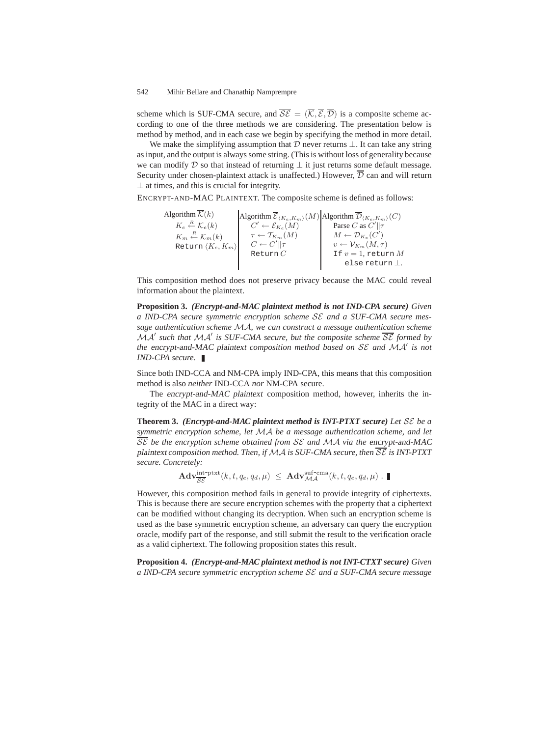scheme which is SUF-CMA secure, and  $\overline{\mathcal{SE}} = (\overline{\mathcal{K}}, \overline{\mathcal{E}}, \overline{\mathcal{D}})$  is a composite scheme according to one of the three methods we are considering. The presentation below is method by method, and in each case we begin by specifying the method in more detail.

We make the simplifying assumption that  $D$  never returns  $\bot$ . It can take any string as input, and the output is always some string. (This is without loss of generality because we can modify D so that instead of returning  $\bot$  it just returns some default message. Security under chosen-plaintext attack is unaffected.) However,  $\overline{\mathcal{D}}$  can and will return  $\perp$  at times, and this is crucial for integrity.

ENCRYPT-AND-MAC PLAINTEXT. The composite scheme is defined as follows:

Algorithm  $\mathcal{K}(k)$  $K_e \stackrel{R}{\leftarrow} \mathcal{K}_e(k)$  $K_m \stackrel{R}{\leftarrow} \mathcal{K}_m(k)$ Return K*e*, K*m* Algorithm  ${\cal E}_{\langle K_e, K_m \rangle}(M)$  $C' \leftarrow \mathcal{E}_{K_e}(M)$  $\tau \leftarrow \mathcal{T}_{K_m}(M)$  $C \leftarrow C' \| \tau$ Return  $C$ Algorithm  $\mathcal{D}_{\langle K_e, K_m \rangle}(C)$ Parse C as  $C'$   $\|\tau\|$  $M \leftarrow \mathcal{D}_{K_e}(C')$  $v \leftarrow \mathcal{V}_{K_m}(M, \tau)$ If  $v = 1$ , return  $M$ else return ⊥.

This composition method does not preserve privacy because the MAC could reveal information about the plaintext.

**Proposition 3.** *(Encrypt-and-MAC plaintext method is not IND-CPA secure) Given a IND-CPA secure symmetric encryption scheme* SE *and a SUF-CMA secure message authentication scheme* MA*, we can construct a message authentication scheme* MA *such that* MA *is SUF-CMA secure, but the composite scheme* SE *formed by the* encrypt-and-MAC plaintext *composition method based on* SE *and* MA *is not IND-CPA secure.*

Since both IND-CCA and NM-CPA imply IND-CPA, this means that this composition method is also *neither* IND-CCA *nor* NM-CPA secure.

The encrypt-and-MAC plaintext composition method, however, inherits the integrity of the MAC in a direct way:

**Theorem 3.** *(Encrypt-and-MAC plaintext method is INT-PTXT secure) Let* SE *be a symmetric encryption scheme, let* MA *be a message authentication scheme, and let* SE *be the encryption scheme obtained from* SE *and* MA *via the* encrypt-and-MAC plaintext *composition method. Then, if* MA *is SUF-CMA secure, then* SE *is INT-PTXT secure. Concretely:*

$$
\mathbf{Adv}_{\overline{\mathcal{SE}}}^{\text{int-ptxt}}(k, t, q_e, q_d, \mu) \leq \mathbf{Adv}_{\mathcal{MA}}^{\text{suf-cma}}(k, t, q_e, q_d, \mu) . \blacksquare
$$

However, this composition method fails in general to provide integrity of ciphertexts. This is because there are secure encryption schemes with the property that a ciphertext can be modified without changing its decryption. When such an encryption scheme is used as the base symmetric encryption scheme, an adversary can query the encryption oracle, modify part of the response, and still submit the result to the verification oracle as a valid ciphertext. The following proposition states this result.

**Proposition 4.** *(Encrypt-and-MAC plaintext method is not INT-CTXT secure) Given a IND-CPA secure symmetric encryption scheme* SE *and a SUF-CMA secure message*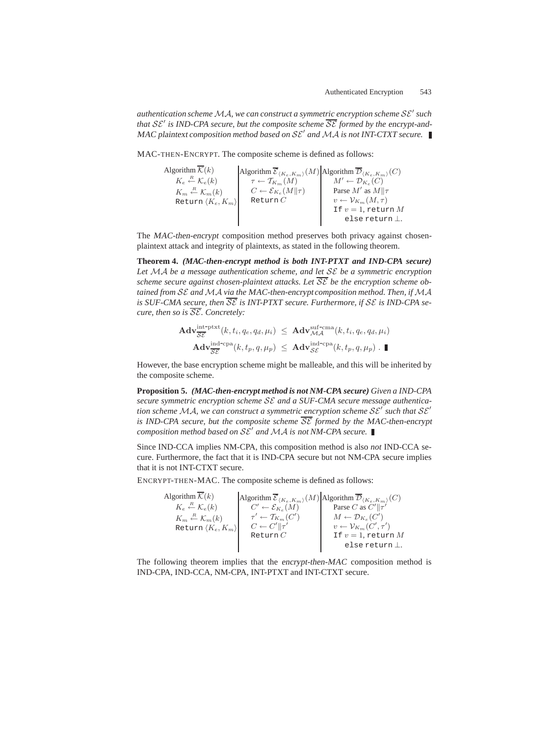*authentication scheme*MA*, we can construct a symmetric encryption scheme* SE *such that*  $SE'$  *is IND-CPA secure, but the composite scheme*  $\overline{SE}$  *formed by the encrypt-and-*MAC plaintext *composition method based on*  $SE'$  *and*  $MA$  *is not INT-CTXT secure.* 

MAC-THEN-ENCRYPT. The composite scheme is defined as follows:

| Algorithm $\overline{\mathcal{K}}(k)$           | Algorithm $\overline{\mathcal{E}}_{(K_e,K_m)}(M)$ Algorithm $\overline{\mathcal{D}}_{(K_e,K_m)}(C)$ |                                          |
|-------------------------------------------------|-----------------------------------------------------------------------------------------------------|------------------------------------------|
| $K_e \stackrel{R}{\leftarrow} \mathcal{K}_e(k)$ | $\tau \leftarrow \mathcal{T}_{K_m}(M)$                                                              | $M' \leftarrow \mathcal{D}_{K_e}(C)$     |
| $K_m \stackrel{R}{\leftarrow} \mathcal{K}_m(k)$ | $C \leftarrow \mathcal{E}_{K_e}(M  \tau)$                                                           | Parse $M'$ as $M  \tau$                  |
| Return $\langle K_e, K_m \rangle$               | Return $C$                                                                                          | $v \leftarrow \mathcal{V}_{K_m}(M,\tau)$ |
|                                                 |                                                                                                     | If $v=1$ , return M                      |
|                                                 |                                                                                                     | else return $\perp$ .                    |

The MAC-then-encrypt composition method preserves both privacy against chosenplaintext attack and integrity of plaintexts, as stated in the following theorem.

**Theorem 4.** *(MAC-then-encrypt method is both INT-PTXT and IND-CPA secure) Let* MA *be a message authentication scheme, and let* SE *be a symmetric encryption scheme secure against chosen-plaintext attacks. Let* SE *be the encryption scheme obtained from SE and MA via the MAC-then-encrypt composition method. Then, if MA* is SUF-CMA secure, then  $\overline{\mathcal{SE}}$  is INT-PTXT secure. Furthermore, if  $\mathcal{SE}$  is IND-CPA se*cure, then so is* SE*. Concretely:*

$$
\mathbf{Adv}_{\overline{\mathcal{SE}}}^{\text{int-ptxt}}(k, t_i, q_e, q_d, \mu_i) \leq \mathbf{Adv}_{\mathcal{MA}}^{\text{suf-cma}}(k, t_i, q_e, q_d, \mu_i)
$$
  

$$
\mathbf{Adv}_{\overline{\mathcal{SE}}}^{\text{ind-cpa}}(k, t_p, q, \mu_p) \leq \mathbf{Adv}_{\mathcal{SE}}^{\text{ind-cpa}}(k, t_p, q, \mu_p) . \blacksquare
$$

However, the base encryption scheme might be malleable, and this will be inherited by the composite scheme.

**Proposition 5.** *(MAC-then-encrypt method is not NM-CPA secure) Given a IND-CPA secure symmetric encryption scheme* SE *and a SUF-CMA secure message authentication scheme*  $MA$ *, we can construct a symmetric encryption scheme*  $SE'$  *such that*  $SE'$ *is IND-CPA secure, but the composite scheme*  $\overline{\mathcal{SE}}$  *formed by the MAC-then-encrypt composition method based on*  $SE'$  *and*  $MA$  *is not NM-CPA secure.* 

Since IND-CCA implies NM-CPA, this composition method is also *not* IND-CCA secure. Furthermore, the fact that it is IND-CPA secure but not NM-CPA secure implies that it is not INT-CTXT secure.

ENCRYPT-THEN-MAC. The composite scheme is defined as follows:

Algorithm  $\overline{\mathcal{K}}(k)$  $K_e \stackrel{R}{\leftarrow} \mathcal{K}_e(k)$  $K_m \stackrel{R}{\leftarrow} \mathcal{K}_m(k)$ Return K*e*, K*m* Algorithm  ${\cal E}_{\langle K_e, K_m \rangle}(M)$  $C' \leftarrow \mathcal{E}_{K_e}(M)$  $\tau' \leftarrow \mathcal{T}_{K_m}(C')$  $C \leftarrow C' \Vert \tau'$ Return  $C$ Algorithm  $\mathcal{D}_{\langle K_e, K_m \rangle}(C)$ Parse C as  $C' \|\tau'$  $M \leftarrow \mathcal{D}_{K_e}(C')$  $v \leftarrow \mathcal{V}_{K_m}(C',\tau')$ If  $v = 1$ , return  $M$ else return ⊥.

The following theorem implies that the encrypt-then-MAC composition method is IND-CPA, IND-CCA, NM-CPA, INT-PTXT and INT-CTXT secure.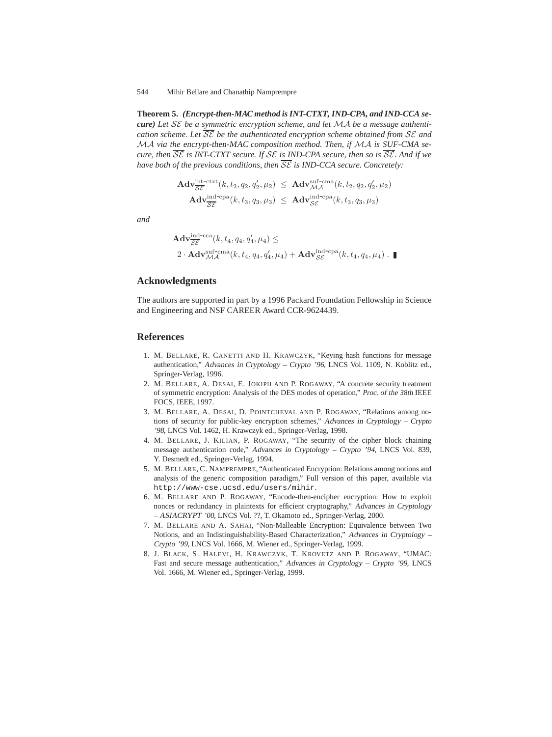**Theorem 5.** *(Encrypt-then-MAC method is INT-CTXT, IND-CPA, and IND-CCA secure) Let* SE *be a symmetric encryption scheme, and let* MA *be a message authentication scheme. Let* SE *be the authenticated encryption scheme obtained from* SE *and* MA *via the* encrypt-then-MAC *composition method. Then, if* MA *is SUF-CMA secure, then* SE *is INT-CTXT secure. If* SE *is IND-CPA secure, then so is* SE*. And if we have both of the previous conditions, then*  $\overline{SE}$  *is IND-CCA secure. Concretely:* 

$$
\begin{array}{rcl} \mathbf{Adv}_{\overline{\mathcal{SE}}}^{\text{int-ctxt}}(k,t_2,q_2,q_2',\mu_2) & \leq & \mathbf{Adv}_{\mathcal{MA}}^{\text{suf-cma}}(k,t_2,q_2,q_2',\mu_2) \\ \mathbf{Adv}_{\overline{\mathcal{SE}}}^{\text{ind-cpa}}(k,t_3,q_3,\mu_3) & \leq & \mathbf{Adv}_{\mathcal{SE}}^{\text{ind-cpa}}(k,t_3,q_3,\mu_3) \end{array}
$$

*and*

$$
\mathbf{Adv}_{\overline{\mathcal{SE}}}^{\text{ind-cca}}(k, t_4, q_4, q'_4, \mu_4) \leq
$$
  
2 · 
$$
\mathbf{Adv}_{\mathcal{MA}}^{\text{suf-cma}}(k, t_4, q_4, q'_4, \mu_4) + \mathbf{Adv}_{\mathcal{SE}}^{\text{ind-cpa}}(k, t_4, q_4, \mu_4) \cdot \blacksquare
$$

# **Acknowledgments**

The authors are supported in part by a 1996 Packard Foundation Fellowship in Science and Engineering and NSF CAREER Award CCR-9624439.

## <span id="page-13-2"></span>**References**

- 1. M. BELLARE, R. CANETTI AND H. KRAWCZYK, "Keying hash functions for message authentication," Advances in Cryptology – Crypto '96, LNCS Vol. 1109, N. Koblitz ed., Springer-Verlag, 1996.
- <span id="page-13-1"></span>2. M. BELLARE, A. DESAI, E. JOKIPII AND P. ROGAWAY, "A concrete security treatment of symmetric encryption: Analysis of the DES modes of operation," Proc. of the 38th IEEE FOCS, IEEE, 1997.
- <span id="page-13-0"></span>3. M. BELLARE, A. DESAI, D. POINTCHEVAL AND P. ROGAWAY, "Relations among notions of security for public-key encryption schemes," Advances in Cryptology – Crypto '98, LNCS Vol. 1462, H. Krawczyk ed., Springer-Verlag, 1998.
- <span id="page-13-4"></span>4. M. BELLARE, J. KILIAN, P. ROGAWAY, "The security of the cipher block chaining message authentication code," Advances in Cryptology – Crypto '94, LNCS Vol. 839, Y. Desmedt ed., Springer-Verlag, 1994.
- <span id="page-13-7"></span>5. M. BELLARE, C. NAMPREMPRE, "Authenticated Encryption: Relations among notions and analysis of the generic composition paradigm," Full version of this paper, available via http://www-cse.ucsd.edu/users/mihir.
- <span id="page-13-5"></span>6. M. BELLARE AND P. ROGAWAY, "Encode-then-encipher encryption: How to exploit nonces or redundancy in plaintexts for efficient cryptography," Advances in Cryptology – ASIACRYPT '00, LNCS Vol. ??, T. Okamoto ed., Springer-Verlag, 2000.
- <span id="page-13-6"></span>7. M. BELLARE AND A. SAHAI, "Non-Malleable Encryption: Equivalence between Two Notions, and an Indistinguishability-Based Characterization," Advances in Cryptology – Crypto '99, LNCS Vol. 1666, M. Wiener ed., Springer-Verlag, 1999.
- <span id="page-13-3"></span>8. J. BLACK, S. HALEVI, H. KRAWCZYK, T. KROVETZ AND P. ROGAWAY, "UMAC: Fast and secure message authentication," Advances in Cryptology – Crypto '99, LNCS Vol. 1666, M. Wiener ed., Springer-Verlag, 1999.